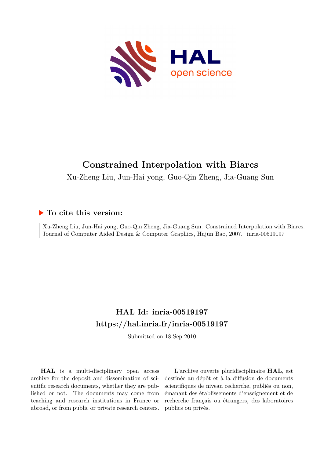

# **Constrained Interpolation with Biarcs**

Xu-Zheng Liu, Jun-Hai yong, Guo-Qin Zheng, Jia-Guang Sun

## **To cite this version:**

Xu-Zheng Liu, Jun-Hai yong, Guo-Qin Zheng, Jia-Guang Sun. Constrained Interpolation with Biarcs. Journal of Computer Aided Design & Computer Graphics, Hujun Bao, 2007. inria-00519197

## **HAL Id: inria-00519197 <https://hal.inria.fr/inria-00519197>**

Submitted on 18 Sep 2010

**HAL** is a multi-disciplinary open access archive for the deposit and dissemination of scientific research documents, whether they are published or not. The documents may come from teaching and research institutions in France or abroad, or from public or private research centers.

L'archive ouverte pluridisciplinaire **HAL**, est destinée au dépôt et à la diffusion de documents scientifiques de niveau recherche, publiés ou non, émanant des établissements d'enseignement et de recherche français ou étrangers, des laboratoires publics ou privés.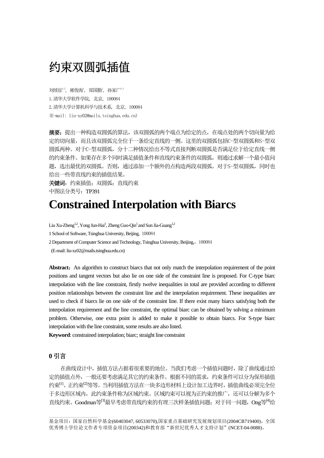# 约束双圆弧插值

刘续征1,2, 雍俊海1, 郑国勤, 孙家广1,2 1.清华大学软件学院, 北京, 100084 2.清华大学计算机科学与技术系, 北京, 100084 (E-mail: liu-xz02@mails.tsinghua.edu.cn)

**摘要**: 提出一种构造双圆弧的算法,该双圆弧的两个端点为给定的点,在端点处的两个切向量为给 定的切向量,而且该双圆弧完全位于一条给定直线的一侧。这里的双圆弧包括C-型双圆弧和S-型双 圆弧两种。对于C-型双圆弧,分十二种情况给出不等式直接判断双圆弧是否满足位于给定直线一侧 的约束条件。如果存在多个同时满足插值条件和直线约束条件的双圆弧,则通过求解一个最小值问 题,选出最优的双圆弧。否则,通过添加一个额外的点构造两段双圆弧。对于S-型双圆弧,同时也 给出一些带直线约束的插值结果。

关键词:约束插值;双圆弧;直线约束 中图法分类号: TP391

# **Constrained Interpolation with Biarcs**

Liu Xu-Zheng<sup>1,2</sup>, Yong Jun-Hai<sup>1</sup>, Zheng Guo-Qin<sup>1</sup> and Sun Jia-Guang<sup>1,2</sup>

1 School of Software, Tsinghua University, Beijing, 100084

2 Department of Computer Science and Technology, Tsinghua University, Beijing,,100084

(E-mail: liu-xz02@mails.tsinghua.edu.cn)

Abstract: An algorithm to construct biarcs that not only match the interpolation requirement of the point positions and tangent vectors but also lie on one side of the constraint line is proposed. For C-type biarc interpolation with the line constraint, firstly twelve inequalities in total are provided according to different position relationships between the constraint line and the interpolation requirement. These inequalities are used to check if biarcs lie on one side of the constraint line. If there exist many biarcs satisfying both the interpolation requirement and the line constraint, the optimal biarc can be obtained by solving a minimum problem. Otherwise, one extra point is added to make it possible to obtain biarcs. For S-type biarc interpolation with the line constraint, some results are also listed.

**Keyword**: constrained interpolation; biarc; straight line constraint

## **0** 引言

 $\overline{\phantom{a}}$  , where  $\overline{\phantom{a}}$ 

在曲线设计中,插值方法占据着很重要的地位。当我们考虑一个插值问题时,除了曲线通过给 定的插值点外,一般还要考虑满足其它的约束条件。根据不同的需求,约束条件可以分为保形插值 约束<sup>[1]</sup>、正约束<sup>[2]</sup>等等。当利用插值方法在一块多边形材料上设计加工边界时,插值曲线必须完全位 于多边形区域内,此约束条件称为区域约束。区域约束可以视为正约束的推广,还可以分解为多个 直线约束。Goodman等<sup>[3]</sup>最早考虑带直线约束的有理三次样条插值问题;对于同一问题,Ong等<sup>[4]</sup>给

基金项目:国家自然科学基金(60403047, 60533070),国家重点基础研究发展规划项目(2004CB719400), 全国 优秀博士学位论文作者专项资金项目(200342)和教育部"新世纪优秀人才支持计划"(NCET-04-0088)。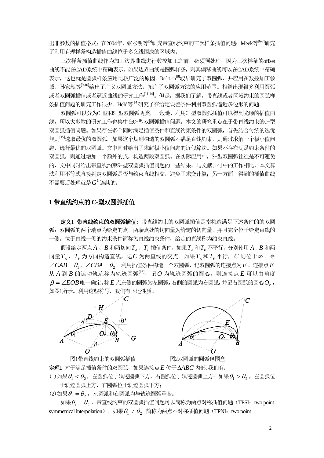出非参数的插值格式;在2004年,张彩明等<sup>[5]</sup>研究带直线约束的三次样条插值问题;Meek等<sup>[6-7]</sup>研究 了利用有理样条构造插值曲线位于多义线围成的区域内。

三次样条插值曲线作为加工边界曲线进行数控加工之前,必须预处理,因为三次样条的offset 曲线不能在CAD系统中精确表示。如果边界曲线是圆弧样条,则其偏移曲线可以在CAD系统中精确 表示,这也就是圆弧样条应用比较广泛的原因。Bolton<sup>[8]</sup>较早研究了双圆弧,并应用在数控加工领 域。孙家昶等[9-10]给出了广义双圆弧方法,拓广了双圆弧方法的应用范围。相继出现很多利用圆弧 或者双圆弧插值或者逼近曲线的研究工作<sup>[11-14]</sup>。但是,据我们了解,带直线或者区域约束的圆弧样 条插值问题的研究工作很少。Held等<sup>[14]</sup>研究了在给定误差条件利用双圆弧逼近多边形的问题。

双圆弧可以分为C-型和S-型双圆弧两类,一般地,利用C-型双圆弧插值可以得到光顺的插值曲 线,所以大多数的研究工作也集中在C-型双圆弧插值问题。本文的研究重点在于带直线约束的C-型 双圆弧插值问题。如果存在多个同时满足插值条件和直线约束条件的双圆弧,首先结合传统的选优 规则[<sup>15]</sup>选取最优的双圆弧。如果这个规则构造的双圆弧不满足直线约束,则通过求解一个极小值问 题,选择最优的双圆弧。文中同时给出了求解极小值问题的近似算法。如果不存在满足约束条件的 双圆弧,则通过增加一个额外的点,构造两段双圆弧。在实际应用中,S-型双圆弧往往是不可避免 的,文中同时给出带直线约束S-型双圆弧插值问题的一些结果。与文献[14]中的工作相比,本文算 法利用不等式直接判定双圆弧是否与约束直线相交,避免了求交计算;另一方面,得到的插值曲线 不需要后处理就是 $G^1$  连续的。

#### **1** 带直线约束的 **C-**型双圆弧插值

定义1 带直线约束的双圆弧插值: 带直线约束的双圆弧插值是指构造满足下述条件的的双圆 弧:双圆弧的两个端点为给定的点,两端点处的切向量为给定的切向量,并且完全位于给定直线的 一侧。位于直线一侧的约束条件简称为直线约束条件,给定的直线称为约束直线。

 $B \oplus B \oplus B$  ,  $A \oplus B$  和两切向 $T_A \oplus T_B$  插值条件, 如果 $T_A \uparrow T_B$  不平行, 分别使用  $A$ ,  $B$  和两 向量 $T_A$ ,  $T_B$ 为方向构造直线, 记 *C* 为两直线的交点。如果 $T_A \, \text{A} T_B \, \text{F}$ 行, *C* 则位于∞ 。令  $\angle$ *CAB* =  $\theta$ <sub>1</sub>,  $\angle$ *CBA* =  $\theta$ <sub>2</sub> 。利用插值条件构造一个双圆弧, 记双圆弧的连接点为*E* 。连接点*E*  $A$  到  $B$  的运动轨迹称为轨迹圆弧[16], 记  $O$  为轨迹圆弧的圆心, 则连接点  $E$  可以由角度  $\beta$  =  $\angle EOB$  唯一确定。称 $E$  点左侧的圆弧为左圆弧,右侧的圆弧为右圆弧,并记右圆弧的圆心 $O_r$  , 如图1所示。利用这些符号,我们有下述性质。





图1带直线约束的双圆弧插值 网2双圆弧的圆弧包围盒

定理1 对于满足插值条件的双圆弧,如果连接点*E* 位于Δ*ABC* 内部,我们有:

(1)如果 $\theta_1 < \theta_2$ , 左圆弧位于轨迹圆弧下方, 右圆弧位于轨迹圆弧上方; 如果 $\theta_1 > \theta_2$ , 左圆弧位 于轨迹圆弧上方,右圆弧位于轨迹圆弧下方;

 $(2)$ 如果 $\theta_1 = \theta_2$ , 左圆弧和右圆弧均与轨迹圆弧重合。

如果 $\theta_1 = \theta_2$ , 带直线约束的双圆弧插值问题可以简称为两点对称插值问题(TPSI: two point symmetrical interpolation)。如果 $\theta_1 \neq \theta_2$ 简称为两点不对称插值问题(TPNI: two point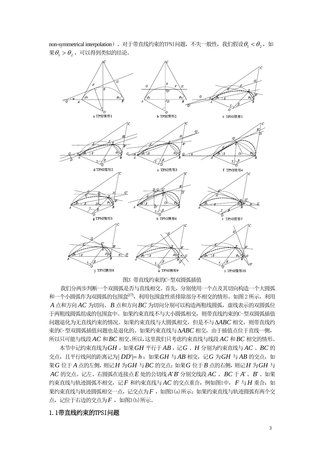

non-symmetrical interpolation)。对于带直线约束的TPNI问题,不失一般性,我们假设 $\theta_1 < \theta_2$ , 如  $\mathcal{R} \theta_1 > \theta_2$ , 可以得到类似的结论。

图3 带直线约束的C-型双圆弧插值

我们分两步判断一个双圆弧是否与直线相交。首先,分别使用一个点及其切向构造一个大圆弧 和一个小圆弧作为双圆弧的包围盒[17], 利用包围盒性质排除部分不相交的情形。如图 2 所示, 利用  $A$  点和方向 $A C$  为切向、 $B$  点和方向 $B C$  为切向分别可以构造两粗线圆弧,虚线表示的双圆弧位 于两粗线圆弧组成的包围盒中。如果约束直线不与大小圆弧相交,则带直线约束的C-型双圆弧插值 问题退化为无直线约束的情况。如果约束直线与大圆弧相交,但是不与 ΔABC 相交,则带直线约 束的C-型双圆弧插值问题也是退化的。如果约束直线与Δ*ABC* 相交,由于插值点位于直线一侧, 所以只可能与线段 *AC* 和*BC* 相交。所以,这里我们只考虑约束直线与线段 *AC* 和*BC* 相交的情形。

 $\overline{A}$ 节中记约束直线为 $GH$  ,如果 $GH$  平行于 $AB$  ,记 $G$  、 $H$  分别为约束直线与 $AC$  、 $BC$  的 交点,且平行线间的距离记为| DD'|= h; 如果 GH 与 AB 相交,记 G 为 GH 与 AB 的交点,如 果*G* 位于 点的左侧,则记 *A H* 为*GH* 与*BC* 的交点;如果*G* 位于*B* 点的右侧,则记*H* 为*GH* 与 *AC* 的交点。记左、右圆弧在连接点*E* 处的公切线 *A*'*B*'分别交线段 *AC* 、*BC* 于 *A*' 、*B*' 。如果 约束直线与轨迹圆弧不相交,记 *F* 和约束直线与  $AC$  的交点重合, 例如图1中, F 与 H 重合;如 果约束直线与轨迹圆弧相交一点,记交点为F, 如图3(a)所示; 如果约束直线与轨迹圆弧有两个交 点,记位于右边的交点为 $F$ , 如图3(b)所示。

#### 1.1带直线约束的TPSI问题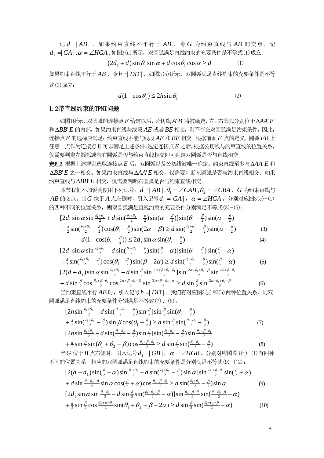记  $d = |AB|$ , 如果约束直线不平行于 AB, 令 G 为约束直线与 AB 的交点, 记  $d_1 = |G\!A|$  ,  $\alpha = \angle HGA$  , 如图3(a) 所示,双圆弧满足直线约束的充要条件是不等式(1) 成立:

$$
(2d_1 + d)\sin\theta_1\sin\alpha + d\cos\theta_1\cos\alpha \ge d \tag{1}
$$

如果约束直线平行于 AB, 令 h = DD' , 如图3 (b) 所示, 双圆弧满足直线约束的充要条件是不等 式(2)成立:

$$
d(1 - \cos \theta_1) \le 2h \sin \theta_1 \tag{2}
$$

#### 1.2带直线约束的TPNI问题

如图1所示,双圆弧的连接点*E* 给定以后,公切线 *A*'*B*'将被确定,左、右圆弧分别位于Δ*AA*'*E* 和Δ*BB*'*E* 的内部,如果约束直线与线段 *AE* 或者*BE* 相交,则不存在双圆弧满足约束条件。因此, 连接点 *E* 的选择应满足: 约束直线不能与线段 AE 和 BE 相交。根据前面 F 点的定义, 圆弧 FB 上 任意一点作为连接点 *E* 可以满足上述条件。选定连接点*E* 之后,根据公切线与约束直线的位置关系, 仅需要判定左圆弧或者右圆弧是否与约束直线相交即可判定双圆弧是否与直线相交。

定理2 根据上述规则选取连接点*E* 后,双圆弧以及公切线被唯一确定。约束直线至多与Δ*AA*'*E* 和 Δ*BB*'*E* 之一相交。如果约束直线与Δ*AA*'*E* 相交,仅需要判断左圆弧是否与约束直线相交;如果 约束直线与Δ*BB*'*E* 相交,仅需要判断右圆弧是否与约束直线相交。

 $\overline{A}$ 节我们不加说明使用下列记号:  $d = AB \mid \theta_1 = \angle CAB$ ,  $\theta_2 = \angle CBA$ , *G* 为约束直线与  $AB$  的交点。当 *G* 位于 *A* 点左侧时,引入记号  $d_1$  = | *GA* | , α = ∠ *HGA* 。分别对应图3(c)-(f) 的四种不同的位置关系,则双圆弧满足直线约束的充要条件分别满足不等式(3)-(6):

$$
[2d_1 \sin \alpha \sin \frac{\theta_1 + \theta_2}{2} + d \sin(\frac{\theta_1 + \theta_2}{2} - \frac{\beta}{2}) \sin(\alpha - \frac{\beta}{2})] \sin(\theta_1 - \frac{\beta}{2}) \sin(\alpha - \frac{\beta}{2})
$$
  
+  $\frac{d}{2} \sin(\frac{\theta_1 + \theta_2}{2} - \frac{\beta}{2}) \cos(\theta_1 - \frac{\beta}{2}) \sin(2\alpha - \beta) \ge d \sin(\frac{\theta_1 + \theta_2}{2} - \frac{\beta}{2}) \sin(\alpha - \frac{\beta}{2})$  (3)

$$
d(1 - \cos(\theta_1 - \frac{\beta}{2})) \le 2d_1 \sin \alpha \sin(\theta_1 - \frac{\beta}{2})
$$
\n
$$
\vdots \quad \theta_1 + \theta_2 = 2d_1 \sin \alpha \sin(\theta_1 - \frac{\beta}{2})
$$
\n(4)

$$
[2d_1 \sin \alpha \sin \frac{\theta_1 + \theta_2}{2} - d \sin(\frac{\theta_1 + \theta_2}{2} - \frac{\beta}{2}) \sin(\frac{\beta}{2} - \alpha)] \sin(\theta_1 - \frac{\beta}{2}) \sin(\frac{\beta}{2} - \alpha)
$$
  
+  $\frac{d}{2} \sin(\frac{\theta_1 + \theta_2}{2} - \frac{\beta}{2}) \cos(\theta_1 - \frac{\beta}{2}) \sin(\beta - 2\alpha) \ge d \sin(\frac{\theta_1 + \theta_2}{2} - \frac{\beta}{2}) \sin(\frac{\beta}{2} - \alpha)$  (5)

$$
[2(d+d_1)\sin\alpha\sin\frac{\theta_1+\theta_2}{2}-d\sin\frac{\beta}{2}\sin\frac{2\alpha+\beta+\theta_2-\theta_1}{2}]\sin\frac{2\alpha+\theta_1+\theta_2-\beta}{2}\sin\frac{\theta_2+\beta-\theta_1}{2} + d\sin\frac{\beta}{2}\cos\frac{\theta_2+\beta-\theta_1}{2}\cos\frac{2\alpha+\beta+\theta_2-\theta_1}{2}\sin\frac{2\alpha+\theta_1+\theta_2-\beta}{2} \geq d\sin\frac{\beta}{2}\sin\frac{2\alpha+\theta_1+\theta_2-\beta}{2}
$$
(6)

当约束直线平行 AB 时, 引入记号 h = DD'| 。我们有对应图3(g) 和 (h) 两种位置关系, 则双 圆弧满足直线约束的充要条件分别满足不等式(7)、(8):

$$
[2h\sin\frac{\theta_1+\theta_2}{2} - d\sin(\frac{\theta_1+\theta_2}{2} - \frac{\beta}{2})\sin\frac{\beta}{2}]\sin\frac{\beta}{2}\sin(\theta_1 - \frac{\beta}{2})+ \frac{d}{2}\sin(\frac{\theta_1+\theta_2}{2} - \frac{\beta}{2})\sin\beta\cos(\theta_1 - \frac{\beta}{2}) \ge d\sin\frac{\beta}{2}\sin(\frac{\theta_1+\theta_2}{2} - \frac{\beta}{2})[2h\sin\frac{\theta_1+\theta_2}{2} - d\sin(\frac{\theta_1+\theta_2}{2} - \frac{\beta}{2})\sin\frac{\beta}{2}]\sin(\frac{\theta_1+\theta_2}{2} - \frac{\beta}{2})\sin\frac{\theta_2+\beta-\theta_1}{2}+ \frac{d}{2}\sin\frac{\beta}{2}\sin(\theta_1+\theta_2-\beta)\cos\frac{\theta_2+\beta-\theta_1}{2} \ge d\sin\frac{\beta}{2}\sin(\frac{\theta_1+\theta_2}{2} - \frac{\beta}{2})
$$
(8)

 $\exists G$  位于 *B* 点右侧时, 引入记号  $d_1$  = |  $GB$  |,  $\alpha = \angle HGB$  。分别对应图图3(i)-(1)有四种 不同的位置关系,相应的双圆弧满足直线约束的充要条件是分别满足不等式(9)-(12):

$$
[2(d+d_1)\sin(\frac{\beta}{2}+\alpha)\sin\frac{\theta_1+\theta_2}{2}-d\sin(\frac{\theta_1+\theta_2}{2}-\frac{\beta}{2})\sin\alpha]\sin\frac{\theta_2+\beta-\theta_1}{2}\sin(\frac{\beta}{2}+\alpha) + d\sin\frac{\theta_1+\theta_2-\beta}{2}\sin\alpha\cos(\frac{\beta}{2}+\alpha)\cos\frac{\theta_2+\beta-\theta_1}{2} \geq d\sin(\frac{\theta_1+\theta_2}{2}-\frac{\beta}{2})\sin\alpha
$$
(9)  

$$
[2d_1\sin\alpha\sin\frac{\theta_1+\theta_2}{2}-d\sin\frac{\beta}{2}\sin(\frac{\theta_1+\theta_2-\beta}{2}-\alpha)]\sin\frac{\theta_2+\beta-\theta_1}{2}\sin(\frac{\theta_1+\theta_2-\beta}{2}-\alpha)
$$

$$
+\frac{d}{2}\sin\frac{\beta}{2}\cos\frac{\theta_{2}+\beta-\theta_{1}}{2}\sin(\theta_{1}+\theta_{2}-\beta-2\alpha)\geq d\sin\frac{\beta}{2}\sin(\frac{\theta_{1}+\theta_{2}-\beta}{2}-\alpha)
$$
(10)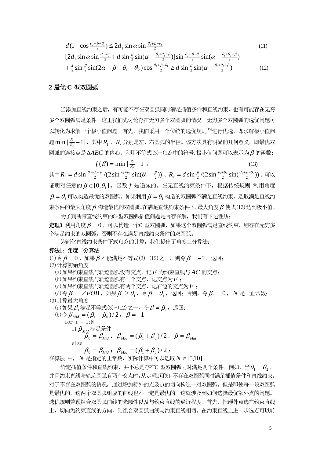2 1 2 <sup>12</sup> <sup>12</sup> sinsin2)cos1( θβθ θβθ <sup>α</sup> −+ −+ *d* − ≤ *d* (11) θθ <sup>21</sup> <sup>β</sup> <sup>21</sup> θβθβθθ <sup>12</sup> <sup>21</sup> βθθ <sup>α</sup> <sup>α</sup> <sup>α</sup> <sup>+</sup> −+ −+ −+ *d* + *d* − −

$$
[2d_1 \sin \alpha \sin \frac{\theta_1 + \theta_2}{2} + d \sin \frac{\beta}{2} \sin(\alpha - \frac{\theta_1 + \theta_2 - \beta}{2})] \sin \frac{\theta_2 + \beta - \theta_1}{2} \sin(\alpha - \frac{\theta_1 + \theta_2 - \beta}{2})
$$
  
+  $\frac{d}{2} \sin \frac{\beta}{2} \sin(2\alpha + \beta - \theta_1 - \theta_2) \cos \frac{\theta_2 + \beta - \theta_1}{2} \ge d \sin \frac{\beta}{2} \sin(\alpha - \frac{\theta_1 + \theta_2 - \beta}{2})$  (12)

#### **2** 最优 **C-**型双圆弧

当添加直线约束之后,有可能不存在双圆弧同时满足插值条件和直线约束,也有可能存在无穷 多个双圆弧满足条件。这里我们先讨论存在无穷多个双圆弧的情况。无穷多个双圆弧的选优问题可 以转化为求解一个极小值问题。首先,我们采用一个传统的选优规则<sup>[15]</sup>进行优选, 即求解极小值问 题 min | <mark>k</mark>, −1|,其中 **R**, 、R, 分别是左、右圆弧的半径。该方法具有明显的几何意义,即最优双 圆弧的连接点是 的内心。利用不等式(3)-(12)中的符号,极小值问题可以表示为 Δ*ABC* β 的函数:

 $f(\beta) = \min |\frac{R_l}{R_r} - 1|,$  (13) 其中  $R_{\rm r}=d\sin\frac{\theta_{\rm t}+\theta_{\rm 2}-\beta}{2}/(2\sin\frac{\theta_{\rm t}+\theta_{\rm 2}}{2}\sin(\theta_{\rm t}-\frac{\beta}{2}))$  , $R_{\rm r}=d\sin\frac{\beta}{2}/(2\sin\frac{\theta_{\rm t}+\theta_{\rm 2}}{2}\sin(\frac{\theta_{\rm 2}+\beta-\theta_{\rm t}}{2}))$  。可以  $E$  证明对任意的  $\beta$  ∈ [0,  $\theta$ <sub>1</sub>], 函数  $f$  是递减的。在无直线约束条件下, 根据传统规则, 利用角度  $\beta = \theta_1$  可以构造最优的双圆弧。如果利用 $\beta = \theta_1$  构造的双圆弧不满足直线约束, 选取满足直线约 束条件的最大角度 β 构造最优的双圆弧。在满足直线约束条件下,最大角度 β 使式(13)达到极小值。 为了判断带直线约束的C-型双圆弧插值问题是否存在解,我们有下述性质;

定理3 利用角度  $\beta = 0$ , 可以构造一个C-型双圆弧, 如果这个双圆弧满足直线约束, 则存在无穷多 个满足约束的双圆弧,否则不存在满足直线约束条件的双圆弧。

为简化直线约束条件下式(13)的计算,我们提出了角度二分算法:

#### 算法1:角度二分算法

(1)令 $\beta = 0$ , 如果 $\beta$  不能满足不等式(3)-(12)之一, 则令 $\beta = -1$ , 返回; (2)计算初始角度 (a)如果约束直线与轨迹圆弧没有交点,记 为约束直线与 的交点; *F AC* (b)如果约束直线与轨迹圆弧有一个交点,记交点为 ; *F* (c)如果约束直线与轨迹圆弧有两个交点,记右边的交点为*F* ; (d)令 $\beta_1 = \angle FOB$ , 如果 $\beta_1 \ge \theta_1$ , 令 $\beta = \theta_1$ , 返回; 否则, 令 $\beta_0 = 0$ , *N* 是一正常数; (3)计算最大角度 (a) 如果  $\beta$ , 满足不等式(3)-(12) 之一, 令  $\beta = \beta_1$ , 返回; (b)  $\Leftrightarrow$   $\beta_{Md} = (\beta_1 + \beta_0)/2$ ,  $\beta = -1$ for  $i = 1:N$ if  $\beta_{\text{M1d}}$  满足条件,  $\beta_0 = \beta_{Mid}$ ;  $\beta_{Mid} = (\beta_1 + \beta_0)/2$ ;  $\beta = \beta_{Mid}$ 

else

 $\beta_0 = \beta_{\text{Mid}}$ ;  $\beta_{\text{Mid}} = (\beta_1 + \beta_0)/2$ ;

在算法1中, *N* 是指定的正常数, 实际计算中可以选取 *N* ∈ [5,10]。

给定插值条件和直线约束,并不总是存在C-型双圆弧同时满足两个条件。例如,当 $\theta_1 = \theta_2$ , 并且约束直线与轨迹圆弧有两个交点时,从定理1可知,不存在双圆弧同时满足插值条件和直线约束。 对于不存在双圆弧的情况,通过增加额外的点及点的切向构造一对双圆弧。但是即使每一段双圆弧 是最优的,这两个双圆弧组成的曲线也不一定是最优的。这就涉及到如何选择最优额外点的问题。 选优规则兼顾组合双圆弧曲线的光顺性以及与约束直线的逼近程度。首先,把额外点选在约束直线 上,切向为约束直线的方向,则组合双圆弧曲线与约束直线相切。在约束直线上进一步选点可以转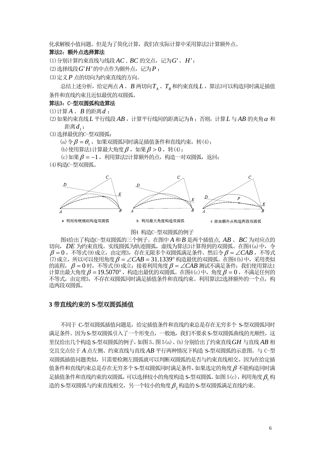化求解极小值问题。但是为了简化计算,我们在实际计算中采用算法2计算额外点。

#### 算法2:额外点选择算法

(1)分别计算约束直线与线段 *AC* ,*BC* 的交点,记为*G*'、*H*';

(2) 选择线段 G' H' 的中点作为额外点, 记为 P:

(3)定义*P* 点的切向为约束直线的方向。

总结上述分析,给定两点 $A$  、 $B$  两切向 $T_{\scriptscriptstyle A}$  、 $T_{\scriptscriptstyle B}$ 和约束直线 $L$  ,算法3可以构造同时满足插值 条件和直线约束且近似最优的双圆弧。

#### 算法3:C-型双圆弧构造算法

(1)计算 *A* 、*B* 的距离*d* ;

 $(2)$ 如果约束直线  $L$  平行线段  $AB$ , 计算平行线间的距离记为 $h$ : 否则, 计算  $L$  与  $AB$  的夹角 $\alpha$  和 距离 $d_1$ ;

(3)选择最优的C-型双圆弧:

(a) 令  $\beta = \theta_1$ , 如果双圆弧同时满足插值条件和直线约束, 转(4);

(b) 使用算法1计算最大角度  $\beta$ , 如果  $\beta > 0$ , 转(4);

(c)如果  $\beta = -1$ , 利用算法2计算额外的点, 构造一对双圆弧, 返回;

(4)构造C-型双圆弧。



图4 构造C-型双圆弧的例子

图4给出了构造C-型双圆弧的三个例子。在图中 *A* 和 *B* 是两个插值点, AB 、 BC 为对应点的 切向, *DE* 为约束直线。实线圆弧为轨迹圆弧,虚线为算法3计算得到的双圆弧。在图4(a)中,令  $\beta = 0$ , 不等式(9)成立, 由定理3, 存在无限多个双圆弧满足条件。然后令 $\beta = \angle CAB$ , 不等式  $\widetilde{r}$ (7)成立,所以可以使用角度  $\beta = \angle CAB = 31.1339$ °构造最优的双圆弧。在图4(b)中,采用类似 的流程,β = 0 时,不等式(9)成立;接着利用角度β = ∠*CAB* 测试不满足条件;我们使用算法1  $\pm$ 算出最大角度 β = 19.5070°, 构造出最优的双圆弧。在图4(c)中, 角度 β = 0, 不满足任何的 不等式,由定理3,不存在双圆弧同时满足插值条件和直线约束。利用算法2选择额外的一个点,构 造两段双圆弧。

#### **3** 带直线约束的 **S-**型双圆弧插值

不同于 C-型双圆弧插值问题是,给定插值条件和直线约束总是存在无穷多个 S-型双圆弧同时 满足条件。因为 S-型双圆弧引入了一个形变点,一般地,我们不要求 S-型双圆弧曲线的光顺性,这 里仅给出几个构造 S-型双圆弧的例子, 如图 5。图 5(a)、(b) 分别给出了约束直线 GH 与直线 AB 相 交且交点位于 A 点左侧、约束直线与直线 AB 平行两种情况下构造 S-型双圆弧的示意图。与 C-型 双圆弧插值问题类似,只需要检测左圆弧就可以判断双圆弧的是否与约束直线相交。因为在给定插 值条件和直线约束总是存在无穷多个 S-型双圆弧同时满足条件, 如果选定的角度  $\beta$  不能构造同时满 足插值条件和直线约束的双圆弧,可以选择较小的角度构造 S-型双圆弧。如图 5(c),利用角度 β,构 造的 S-型双圆弧与约束直线相交,另一个较小的角度  $\beta$ ,构造的 S-型双圆弧满足直线约束。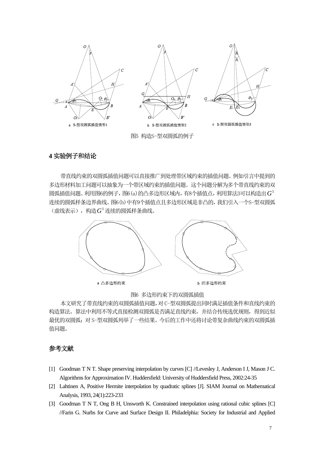

## **4** 实验例子和结论

带直线约束的双圆弧插值问题可以直接推广到处理带区域约束的插值问题。例如引言中提到的 多边形材料加工问题可以抽象为一个带区域约束的插值问题。这个问题分解为多个带直线约束的双 圆弧插值问题。利用图6的例子,图6(a)的凸多边形区域内,有8个插值点,利用算法3可以构造出 $G^1$ 连续的圆弧样条边界曲线。图6(b)中有9个插值点且多边形区域是非凸的,我们引入一个S-型双圆弧 (虚线表示),构造 $G^1$ 连续的圆弧样条曲线。



图6 多边形约束下的双圆弧插值

本文研究了带直线约束的双圆弧插值问题,对 C-型双圆弧提出同时满足插值条件和直线约束的 构造算法。算法中利用不等式直接检测双圆弧是否满足直线约束,并结合传统选优规则,得到近似 最优的双圆弧;对 S-型双圆弧列举了一些结果。今后的工作中还将讨论带复杂曲线约束的双圆弧插 值问题。

#### 参考文献

- [1] Goodman T N T. Shape preserving interpolation by curves [C] //Levesley J, Anderson I J, Mason J C. Algorithms for Approximation IV. Huddersfield: University of Huddersfield Press, 2002:24-35
- [2] Lahtinen A, Positive Hermite interpolation by quadratic splines [J]. SIAM Journal on Mathematical Analysis, 1993, 24(1):223-233
- [3] Goodman T N T, Ong B H, Unsworth K. Constrained interpolation using rational cubic splines [C] //Farin G. Nurbs for Curve and Surface Design II. Philadelphia: Society for Industrial and Applied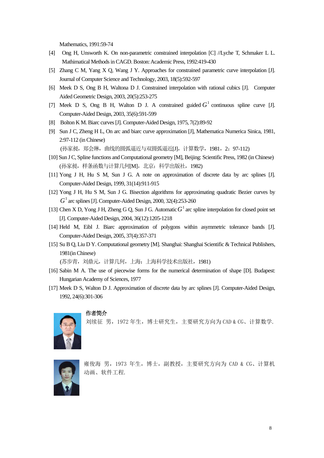Mathematics, 1991:59-74

- [4] Ong H, Unsworth K. On non-parametric constrained interpolation [C] //Lyche T, Schmaker L L. Mathimatical Methods in CAGD. Boston: Academic Press, 1992:419-430
- [5] Zhang C M, Yang X Q, Wang J Y. Approaches for constrained parametric curve interpolation [J]. Journal of Computer Science and Technology, 2003, 18(5):592-597
- [6] Meek D S, Ong B H, Waltona D J. Constrained interpolation with rational cubics [J]. Computer Aided Geometric Design, 2003, 20(5):253-275
- [7] Meek D S, Ong B H, Walton D J. A constrained guided  $G<sup>1</sup>$  continuous spline curve [J]. Computer-Aided Design, 2003, 35(6):591-599
- [8] Bolton K M. Biarc curves [J]. Computer-Aided Design, 1975, 7(2):89-92
- [9] Sun J C, Zheng H L, On arc and biarc curve approximation [J], Mathematica Numerica Sinica, 1981, 2:97-112 (in Chinese)

(孙家昶, 郑会琳, 曲线的圆弧逼近与双圆弧逼近[J], 计算数学, 1981, 2: 97-112)

- [10] Sun J C, Spline functions and Computational geometry [M], Beijing: Scientific Press, 1982 (in Chinese) (孙家昶,样条函数与计算几何[M],北京:科学出版社,1982)
- [11] Yong J H, Hu S M, Sun J G. A note on approximation of discrete data by arc splines [J]. Computer-Aided Design, 1999, 31(14):911-915
- [12] Yong J H, Hu S M, Sun J G. Bisection algorithms for approximating quadratic Bezier curves by  $G<sup>1</sup>$  arc splines [J]. Computer-Aided Design, 2000, 32(4):253-260
- [13] Chen X D, Yong J H, Zheng G Q, Sun J G. Automatic  $G<sup>1</sup>$  arc spline interpolation for closed point set [J]. Computer-Aided Design, 2004, 36(12):1205-1218
- [14] Held M, Eibl J. Biarc approximation of polygons within asymmetric tolerance bands [J]. Computer-Aided Design, 2005, 37(4):357-371
- [15] Su B Q, Liu D Y. Computational geometry [M]. Shanghai: Shanghai Scientific & Technical Publishers, 1981(in Chinese)

(苏步青,刘鼎元,计算几何,上海:上海科学技术出版社,1981)

- [16] Sabin M A. The use of piecewise forms for the numerical determination of shape [D]. Budapest: Hungarian Academy of Sciences, 1977
- [17] Meek D S, Walton D J. Approximation of discrete data by arc splines [J]. Computer-Aided Design, 1992, 24(6):301-306



作者简介

刘续征 男,1972 年生,博士研究生,主要研究方向为 CAD & CG、计算数学.



雍俊海 男,1973 年生,博士,副教授,主要研究方向为 CAD & CG、计算机 动画、软件工程.